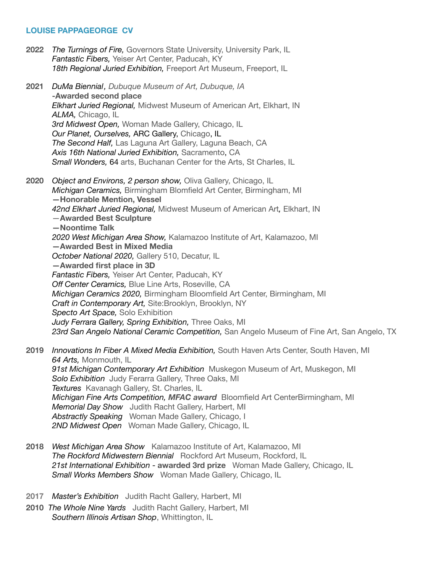## **LOUISE PAPPAGEORGE CV**

- **2022** *The Turnings of Fire,* Governors State University, University Park, IL *Fantastic Fibers,* Yeiser Art Center, Paducah, KY 18th Regional Juried Exhibition, Freeport Art Museum, Freeport, IL
- **2021** *DuMa Biennial, Dubuque Museum of Art, Dubuque, IA*  **-Awarded second place** *Elkhart Juried Regional, Midwest Museum of American Art, Elkhart, IN ALMA,* Chicago, IL *3rd Midwest Open,* Woman Made Gallery, Chicago, IL *Our Planet, Ourselves,* ARC Gallery, Chicago, IL *The Second Half,* Las Laguna Art Gallery, Laguna Beach, CA *Axis 16th National Juried Exhibition,* Sacramento, CA *Small Wonders,* 64 arts, Buchanan Center for the Arts, St Charles, IL
- **2020** *Object and Environs, 2 person show,* Oliva Gallery, Chicago, IL *Michigan Ceramics,* Birmingham Blomfield Art Center, Birmingham, MI **—Honorable Mention, Vessel**  *42nd Elkhart Juried Regional,* Midwest Museum of American Art*,* Elkhart, IN —**Awarded Best Sculpture —Noontime Talk**  *2020 West Michigan Area Show,* Kalamazoo Institute of Art, Kalamazoo, MI **—Awarded Best in Mixed Media**  *October National 2020,* Gallery 510, Decatur, IL **—Awarded first place in 3D**  *Fantastic Fibers,* Yeiser Art Center, Paducah, KY *Off Center Ceramics,* Blue Line Arts, Roseville, CA *Michigan Ceramics 2020,* Birmingham Bloomfield Art Center, Birmingham, MI *Craft in Contemporary Art,* Site:Brooklyn, Brooklyn, NY *Specto Art Space,* Solo Exhibition  *Judy Ferrara Gallery, Spring Exhibition,* Three Oaks, MI *23rd San Angelo National Ceramic Competition,* San Angelo Museum of Fine Art, San Angelo, TX
- **2019** *Innovations In Fiber A Mixed Media Exhibition,* South Haven Arts Center, South Haven, MI *64 Arts,* Monmouth, IL *91st Michigan Contemporary Art Exhibition* Muskegon Museum of Art, Muskegon, MI **Solo Exhibition** Judy Ferarra Gallery, Three Oaks, MI *Textures* Kavanagh Gallery, St. Charles, IL *Michigan Fine Arts Competition, MFAC award* Bloomfield Art CenterBirmingham, MI *Memorial Day Show* Judith Racht Gallery, Harbert, MI *Abstractly Speaking* Woman Made Gallery, Chicago, I *2ND Midwest Open* Woman Made Gallery, Chicago, IL
- **2018** *West Michigan Area Show* Kalamazoo Institute of Art, Kalamazoo, MI *The Rockford Midwestern Biennial* Rockford Art Museum, Rockford, IL *21st International Exhibition* - **awarded 3rd prize** Woman Made Gallery, Chicago, IL *Small Works Members Show* Woman Made Gallery, Chicago, IL
- **2017** *Master's Exhibition* Judith Racht Gallery, Harbert, MI
- **2010** *The Whole Nine Yards* Judith Racht Gallery, Harbert, MI *Southern Illinois Artisan Shop*, Whittington, IL